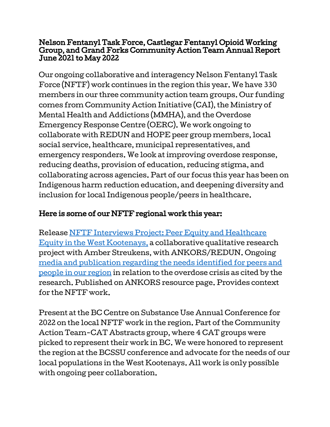## Nelson Fentanyl Task Force, Castlegar Fentanyl Opioid Working Group, and Grand Forks Community Action Team Annual Report June 2021 to May 2022

Our ongoing collaborative and interagency Nelson Fentanyl Task Force (NFTF) work continues in the region this year. We have 330 members in our three community action team groups. Our funding comes from Community Action Initiative (CAI), the Ministry of Mental Health and Addictions (MMHA), and the Overdose Emergency Response Centre (OERC). We work ongoing to collaborate with REDUN and HOPE peer group members, local social service, healthcare, municipal representatives, and emergency responders. We look at improving overdose response, reducing deaths, provision of education, reducing stigma, and collaborating across agencies. Part of our focus this year has been on Indigenous harm reduction education, and deepening diversity and inclusion for local Indigenous people/peers in healthcare.

## Here is some of our NFTF regional work this year:

Release [NFTF Interviews Project: Peer Equity and Healthcare](https://ankors.bc.ca/resources/) [Equity in the West Kootenays,](https://ankors.bc.ca/resources/) a collaborative qualitative research project with Amber Streukens, with ANKORS/REDUN. Ongoing [media and publication regarding the needs identified for peers and](https://www.nelsonstar.com/community/nelson-fentanyl-task-force-to-release-healthcare-equity-report/) [people in our region](https://www.nelsonstar.com/community/nelson-fentanyl-task-force-to-release-healthcare-equity-report/) in relation to the overdose crisis as cited by the research. Published on ANKORS resource page. Provides context for the NFTF work.

Present at the BC Centre on Substance Use Annual Conference for 2022 on the local NFTF work in the region. Part of the Community Action Team-CAT Abstracts group, where 4 CAT groups were picked to represent their work in BC. We were honored to represent the region at the BCSSU conference and advocate for the needs of our local populations in the West Kootenays. All work is only possible with ongoing peer collaboration.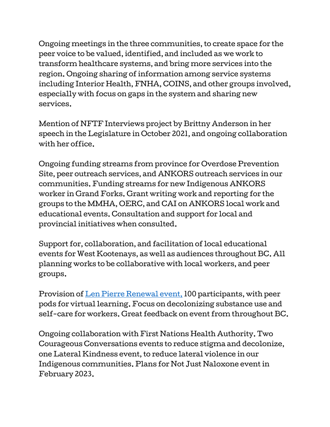Ongoing meetings in the three communities, to create space for the peer voice to be valued, identified, and included as we work to transform healthcare systems, and bring more services into the region. Ongoing sharing of information among service systems including Interior Health, FNHA, COINS, and other groups involved, especially with focus on gaps in the system and sharing new services.

Mention of NFTF Interviews project by Brittny Anderson in her speech in the Legislature in October 2021, and ongoing collaboration with her office.

Ongoing funding streams from province for Overdose Prevention Site, peer outreach services, and ANKORS outreach services in our communities. Funding streams for new Indigenous ANKORS worker in Grand Forks. Grant writing work and reporting for the groups to the MMHA, OERC, and CAI on ANKORS local work and educational events. Consultation and support for local and provincial initiatives when consulted.

Support for, collaboration, and facilitation of local educational events for West Kootenays, as well as audiences throughout BC. All planning works to be collaborative with local workers, and peer groups.

Provision of [Len Pierre Renewal event,](https://thenelsondaily.com/megaphone-blast/first-nations-len-pierre-speak-online-renewal-workshop#.YrJX5BPMK3c) 100 participants, with peer pods for virtual learning. Focus on decolonizing substance use and self-care for workers. Great feedback on event from throughout BC.

Ongoing collaboration with First Nations Health Authority. Two Courageous Conversations events to reduce stigma and decolonize, one Lateral Kindness event, to reduce lateral violence in our Indigenous communities. Plans for Not Just Naloxone event in February 2023.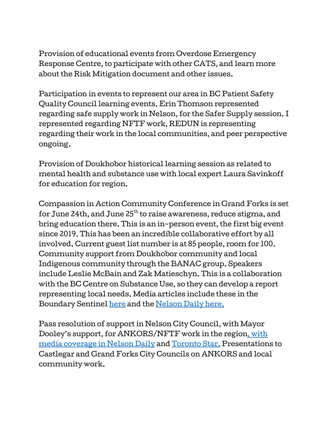Provision of educational events from Overdose Emergency Response Centre, to participate with other CATS, and learn more about the Risk Mitigation document and other issues.

Participation in events to represent our area in BC Patient Safety Quality Council learning events. Erin Thomson represented regarding safe supply work in Nelson, for the Safer Supply session. I represented regarding NFTF work, REDUN is representing regarding their work in the local communities, and peer perspective ongoing.

Provision of Doukhobor historical learning session as related to mental health and substance use with local expert Laura Savinkoff for education for region.

Compassion in Action Community Conference in Grand Forks is set for June 24th, and June 25 $^{\rm th}$  to raise awareness, reduce stigma, and bring education there. This is an in-person event, the first big event since 2019. This has been an incredible collaborative effort by all involved. Current guest list number is at 85 people, room for 100. Community support from Doukhobor community and local Indigenous community through the BANAC group. Speakers include Leslie McBain and Zak Matieschyn. This is a collaboration with the BC Centre on Substance Use, so they can develop a report representing local needs. Media articles include these in the Boundary Sentinel [here](https://boundarysentinel.com/news/compassion-action-community-conference-coming-boundary-city#.YqozQRPMK3d) and the [Nelson Daily here.](https://thenelsondaily.com/news/leslie-mcbain-co-founder-moms-stop-harm-coming-west-kootenays)

Pass resolution of support in Nelson City Council, with Mayor Dooley's support, for ANKORS/NFTF work in the region, [with](http://thenelsondaily.com/news/support-city-fentanyl-task-force-allows-leveraging-funds-continue-work) [media coverage in Nelson Daily](http://thenelsondaily.com/news/support-city-fentanyl-task-force-allows-leveraging-funds-continue-work) and [Toronto Star.](https://www.thestar.com/news/canada/2021/12/29/support-from-city-for-fentanyl-task-force-allows-leveraging-of-funds-to-continue-work.html) Presentations to Castlegar and Grand Forks City Councils on ANKORS and local community work.